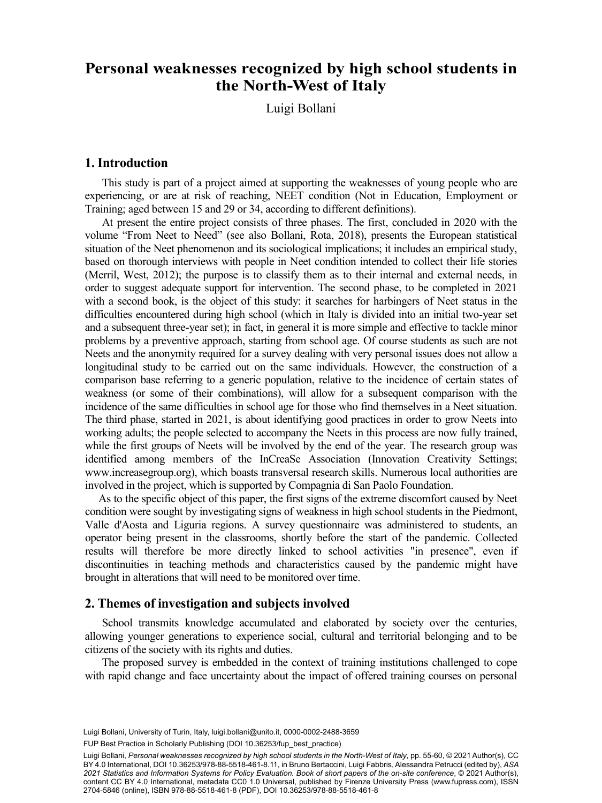# **the North-West of Italy** the North-West of Italy **Personal weaknesses recognized by high school students in**

Luigi Bollani

# **1. Introduction**

This study is part of a project aimed at supporting the weaknesses of young people who are experiencing, or are at risk of reaching, NEET condition (Not in Education, Employment or Training; aged between 15 and 29 or 34, according to different definitions).

At present the entire project consists of three phases. The first, concluded in 2020 with the volume "From Neet to Need" (see also Bollani, Rota, 2018), presents the European statistical situation of the Neet phenomenon and its sociological implications; it includes an empirical study, based on thorough interviews with people in Neet condition intended to collect their life stories (Merril, West, 2012); the purpose is to classify them as to their internal and external needs, in order to suggest adequate support for intervention. The second phase, to be completed in 2021 with a second book, is the object of this study: it searches for harbingers of Neet status in the difficulties encountered during high school (which in Italy is divided into an initial two-year set and a subsequent three-year set); in fact, in general it is more simple and effective to tackle minor problems by a preventive approach, starting from school age. Of course students as such are not Neets and the anonymity required for a survey dealing with very personal issues does not allow a longitudinal study to be carried out on the same individuals. However, the construction of a comparison base referring to a generic population, relative to the incidence of certain states of weakness (or some of their combinations), will allow for a subsequent comparison with the incidence of the same difficulties in school age for those who find themselves in a Neet situation. The third phase, started in 2021, is about identifying good practices in order to grow Neets into working adults; the people selected to accompany the Neets in this process are now fully trained, while the first groups of Neets will be involved by the end of the year. The research group was identified among members of the InCreaSe Association (Innovation Creativity Settings; www.increasegroup.org), which boasts transversal research skills. Numerous local authorities are involved in the project, which is supported by Compagnia di San Paolo Foundation.

As to the specific object of this paper, the first signs of the extreme discomfort caused by Neet condition were sought by investigating signs of weakness in high school students in the Piedmont, Valle d'Aosta and Liguria regions. A survey questionnaire was administered to students, an operator being present in the classrooms, shortly before the start of the pandemic. Collected results will therefore be more directly linked to school activities "in presence", even if discontinuities in teaching methods and characteristics caused by the pandemic might have brought in alterations that will need to be monitored over time.

## **2. Themes of investigation and subjects involved**

School transmits knowledge accumulated and elaborated by society over the centuries, allowing younger generations to experience social, cultural and territorial belonging and to be citizens of the society with its rights and duties.

The proposed survey is embedded in the context of training institutions challenged to cope with rapid change and face uncertainty about the impact of offered training courses on personal

Luigi Bollani, University of Turin, Italy, [luigi.bollani@unito.it,](mailto:luigi.bollani@unito.it) [0000-0002-2488-3659](https://orcid.org/0000-0002-2488-3659)

FUP Best Practice in Scholarly Publishing (DOI [10.36253/fup\\_best\\_practice](https://doi.org/10.36253/fup_best_practice))

Luigi Bollani, *Personal weaknesses recognized by high school students in the North-West of Italy*, pp. 55-60, © 2021 Author(s), [CC](http://creativecommons.org/licenses/by/4.0/legalcode) [BY 4.0 International](http://creativecommons.org/licenses/by/4.0/legalcode), DOI [10.36253/978-88-5518-461-8.11,](https://doi.org/10.36253/978-88-5518-461-8.11) in Bruno Bertaccini, Luigi Fabbris, Alessandra Petrucci (edited by), *ASA 2021 Statistics and Information Systems for Policy Evaluation. Book of short papers of the on-site conference*, © 2021 Author(s), content [CC BY 4.0 International,](http://creativecommons.org/licenses/by/4.0/legalcode) metadata [CC0 1.0 Universal](https://creativecommons.org/publicdomain/zero/1.0/legalcode), published by Firenze University Press [\(www.fupress.com](http://www.fupress.com)), ISSN 2704-5846 (online), ISBN 978-88-5518-461-8 (PDF), DOI [10.36253/978-88-5518-461-8](https://doi.org/10.36253/978-88-5518-461-8)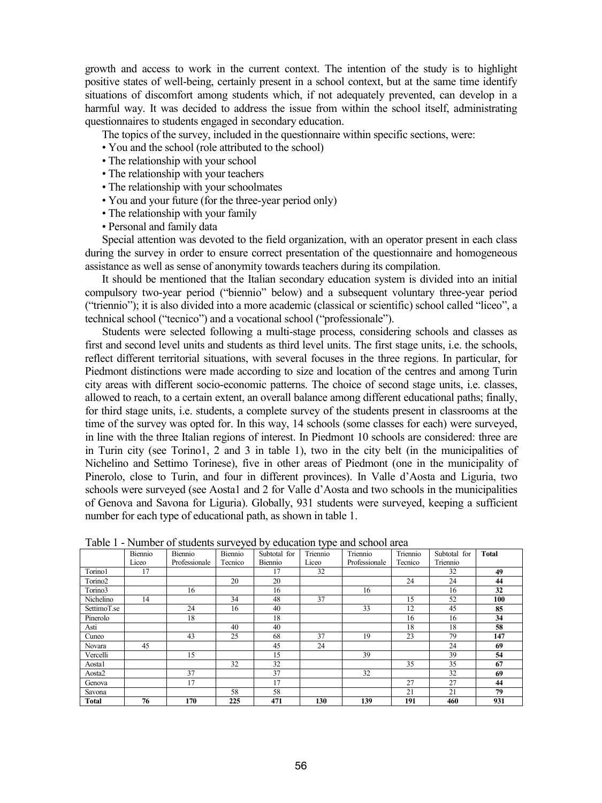growth and access to work in the current context. The intention of the study is to highlight positive states of well-being, certainly present in a school context, but at the same time identify situations of discomfort among students which, if not adequately prevented, can develop in a harmful way. It was decided to address the issue from within the school itself, administrating questionnaires to students engaged in secondary education.

The topics of the survey, included in the questionnaire within specific sections, were:

• You and the school (role attributed to the school)

- The relationship with your school
- The relationship with your teachers
- The relationship with your schoolmates
- You and your future (for the three-year period only)
- The relationship with your family
- Personal and family data

Special attention was devoted to the field organization, with an operator present in each class during the survey in order to ensure correct presentation of the questionnaire and homogeneous assistance as well as sense of anonymity towards teachers during its compilation.

It should be mentioned that the Italian secondary education system is divided into an initial compulsory two-year period ("biennio" below) and a subsequent voluntary three-year period ("triennio"); it is also divided into a more academic (classical or scientific) school called "liceo", a technical school ("tecnico") and a vocational school ("professionale").

Students were selected following a multi-stage process, considering schools and classes as first and second level units and students as third level units. The first stage units, i.e. the schools, reflect different territorial situations, with several focuses in the three regions. In particular, for Piedmont distinctions were made according to size and location of the centres and among Turin city areas with different socio-economic patterns. The choice of second stage units, i.e. classes, allowed to reach, to a certain extent, an overall balance among different educational paths; finally, for third stage units, i.e. students, a complete survey of the students present in classrooms at the time of the survey was opted for. In this way, 14 schools (some classes for each) were surveyed, in line with the three Italian regions of interest. In Piedmont 10 schools are considered: three are in Turin city (see Torino1, 2 and 3 in table 1), two in the city belt (in the municipalities of Nichelino and Settimo Torinese), five in other areas of Piedmont (one in the municipality of Pinerolo, close to Turin, and four in different provinces). In Valle d'Aosta and Liguria, two schools were surveyed (see Aosta1 and 2 for Valle d'Aosta and two schools in the municipalities of Genova and Savona for Liguria). Globally, 931 students were surveyed, keeping a sufficient number for each type of educational path, as shown in table 1.

|                     | raone i l'internet et suddents surveyed by caucation type and senoor area |               |         |              |          |               |          |              |              |
|---------------------|---------------------------------------------------------------------------|---------------|---------|--------------|----------|---------------|----------|--------------|--------------|
|                     | Biennio                                                                   | Biennio       | Biennio | Subtotal for | Triennio | Triennio      | Triennio | Subtotal for | <b>Total</b> |
|                     | Liceo                                                                     | Professionale | Tecnico | Biennio      | Liceo    | Professionale | Tecnico  | Triennio     |              |
| Torino1             | 17                                                                        |               |         | 17           | 32       |               |          | 32           | 49           |
| Torino <sub>2</sub> |                                                                           |               | 20      | 20           |          |               | 24       | 24           | 44           |
| Torino3             |                                                                           | 16            |         | 16           |          | 16            |          | 16           | 32           |
| Nichelino           | 14                                                                        |               | 34      | 48           | 37       |               | 15       | 52           | 100          |
| SettimoT.se         |                                                                           | 24            | 16      | 40           |          | 33            | 12       | 45           | 85           |
| Pinerolo            |                                                                           | 18            |         | 18           |          |               | 16       | 16           | 34           |
| Asti                |                                                                           |               | 40      | 40           |          |               | 18       | 18           | 58           |
| Cuneo               |                                                                           | 43            | 25      | 68           | 37       | 19            | 23       | 79           | 147          |
| Novara              | 45                                                                        |               |         | 45           | 24       |               |          | 24           | 69           |
| Vercelli            |                                                                           | 15            |         | 15           |          | 39            |          | 39           | 54           |
| Aostal              |                                                                           |               | 32      | 32           |          |               | 35       | 35           | 67           |
| Aosta2              |                                                                           | 37            |         | 37           |          | 32            |          | 32           | 69           |
| Genova              |                                                                           | 17            |         | 17           |          |               | 27       | 27           | 44           |
| Savona              |                                                                           |               | 58      | 58           |          |               | 21       | 21           | 79           |
| Total               | 76                                                                        | 170           | 225     | 471          | 130      | 139           | 191      | 460          | 931          |

Table 1 - Number of students surveyed by education type and school area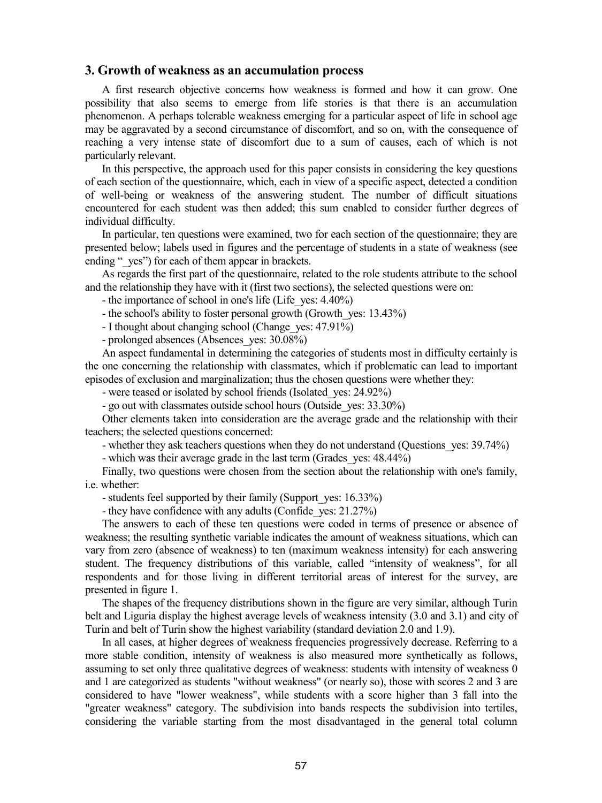#### **3. Growth of weakness as an accumulation process**

A first research objective concerns how weakness is formed and how it can grow. One possibility that also seems to emerge from life stories is that there is an accumulation phenomenon. A perhaps tolerable weakness emerging for a particular aspect of life in school age may be aggravated by a second circumstance of discomfort, and so on, with the consequence of reaching a very intense state of discomfort due to a sum of causes, each of which is not particularly relevant.

In this perspective, the approach used for this paper consists in considering the key questions of each section of the questionnaire, which, each in view of a specific aspect, detected a condition of well-being or weakness of the answering student. The number of difficult situations encountered for each student was then added; this sum enabled to consider further degrees of individual difficulty.

In particular, ten questions were examined, two for each section of the questionnaire; they are presented below; labels used in figures and the percentage of students in a state of weakness (see ending "yes") for each of them appear in brackets.

As regards the first part of the questionnaire, related to the role students attribute to the school and the relationship they have with it (first two sections), the selected questions were on:

- the importance of school in one's life (Life yes: 4.40%)

- the school's ability to foster personal growth (Growth yes: 13.43%)

- I thought about changing school (Change ves: 47.91%)
- prolonged absences (Absences ves:  $30.08\%$ )

An aspect fundamental in determining the categories of students most in difficulty certainly is the one concerning the relationship with classmates, which if problematic can lead to important episodes of exclusion and marginalization; thus the chosen questions were whether they:

- were teased or isolated by school friends (Isolated\_yes: 24.92%)

- go out with classmates outside school hours (Outside\_yes: 33.30%)

Other elements taken into consideration are the average grade and the relationship with their teachers; the selected questions concerned:

- whether they ask teachers questions when they do not understand (Questions\_yes: 39.74%)

- which was their average grade in the last term (Grades yes: 48.44%)

Finally, two questions were chosen from the section about the relationship with one's family, i.e. whether:

- students feel supported by their family (Support yes: 16.33%)

- they have confidence with any adults (Confide\_yes: 21.27%)

The answers to each of these ten questions were coded in terms of presence or absence of weakness; the resulting synthetic variable indicates the amount of weakness situations, which can vary from zero (absence of weakness) to ten (maximum weakness intensity) for each answering student. The frequency distributions of this variable, called "intensity of weakness", for all respondents and for those living in different territorial areas of interest for the survey, are presented in figure 1.

The shapes of the frequency distributions shown in the figure are very similar, although Turin belt and Liguria display the highest average levels of weakness intensity (3.0 and 3.1) and city of Turin and belt of Turin show the highest variability (standard deviation 2.0 and 1.9).

In all cases, at higher degrees of weakness frequencies progressively decrease. Referring to a more stable condition, intensity of weakness is also measured more synthetically as follows, assuming to set only three qualitative degrees of weakness: students with intensity of weakness 0 and 1 are categorized as students "without weakness" (or nearly so), those with scores 2 and 3 are considered to have "lower weakness", while students with a score higher than 3 fall into the "greater weakness" category. The subdivision into bands respects the subdivision into tertiles, considering the variable starting from the most disadvantaged in the general total column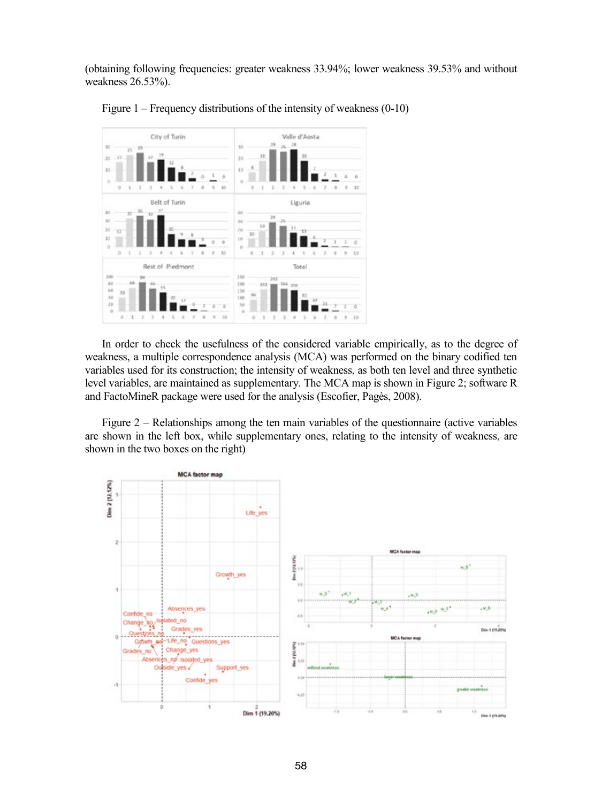(obtaining following frequencies: greater weakness 33.94%; lower weakness 39.53% and without weakness 26.53%).



Figure 1 – Frequency distributions of the intensity of weakness (0-10)

In order to check the usefulness of the considered variable empirically, as to the degree of weakness, a multiple correspondence analysis (MCA) was performed on the binary codified ten variables used for its construction; the intensity of weakness, as both ten level and three synthetic level variables, are maintained as supplementary. The MCA map is shown in Figure 2; software R and FactoMineR package were used for the analysis (Escofier, Pagès, 2008).

Figure 2 – Relationships among the ten main variables of the questionnaire (active variables are shown in the left box, while supplementary ones, relating to the intensity of weakness, are shown in the two boxes on the right)

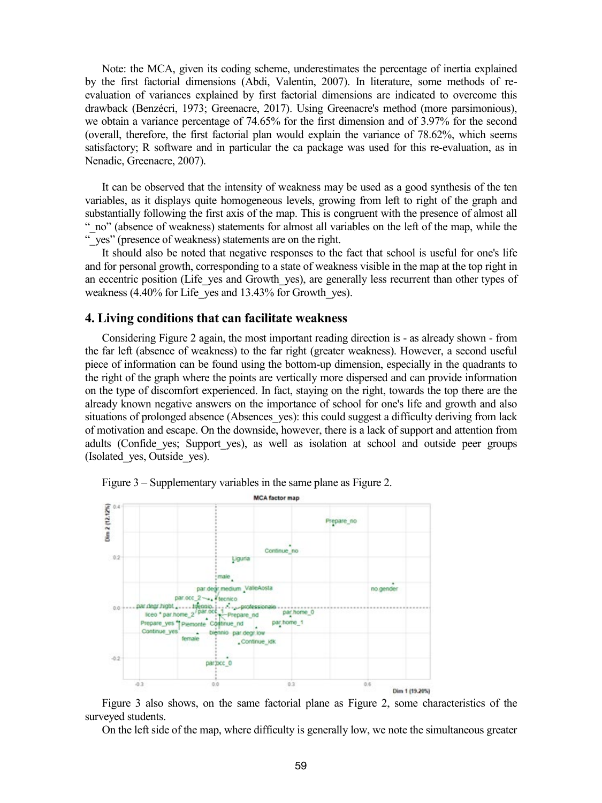Note: the MCA, given its coding scheme, underestimates the percentage of inertia explained by the first factorial dimensions (Abdi, Valentin, 2007). In literature, some methods of reevaluation of variances explained by first factorial dimensions are indicated to overcome this drawback (Benzécri, 1973; Greenacre, 2017). Using Greenacre's method (more parsimonious), we obtain a variance percentage of 74.65% for the first dimension and of 3.97% for the second (overall, therefore, the first factorial plan would explain the variance of 78.62%, which seems satisfactory; R software and in particular the ca package was used for this re-evaluation, as in Nenadic, Greenacre, 2007).

It can be observed that the intensity of weakness may be used as a good synthesis of the ten variables, as it displays quite homogeneous levels, growing from left to right of the graph and substantially following the first axis of the map. This is congruent with the presence of almost all " no" (absence of weakness) statements for almost all variables on the left of the map, while the "\_yes" (presence of weakness) statements are on the right.

It should also be noted that negative responses to the fact that school is useful for one's life and for personal growth, corresponding to a state of weakness visible in the map at the top right in an eccentric position (Life yes and Growth yes), are generally less recurrent than other types of weakness (4.40% for Life yes and 13.43% for Growth yes).

### **4. Living conditions that can facilitate weakness**

Considering Figure 2 again, the most important reading direction is - as already shown - from the far left (absence of weakness) to the far right (greater weakness). However, a second useful piece of information can be found using the bottom-up dimension, especially in the quadrants to the right of the graph where the points are vertically more dispersed and can provide information on the type of discomfort experienced. In fact, staying on the right, towards the top there are the already known negative answers on the importance of school for one's life and growth and also situations of prolonged absence (Absences yes): this could suggest a difficulty deriving from lack of motivation and escape. On the downside, however, there is a lack of support and attention from adults (Confide\_yes; Support\_yes), as well as isolation at school and outside peer groups (Isolated\_yes, Outside\_yes).



Figure 3 – Supplementary variables in the same plane as Figure 2.

Figure 3 also shows, on the same factorial plane as Figure 2, some characteristics of the surveyed students.

On the left side of the map, where difficulty is generally low, we note the simultaneous greater